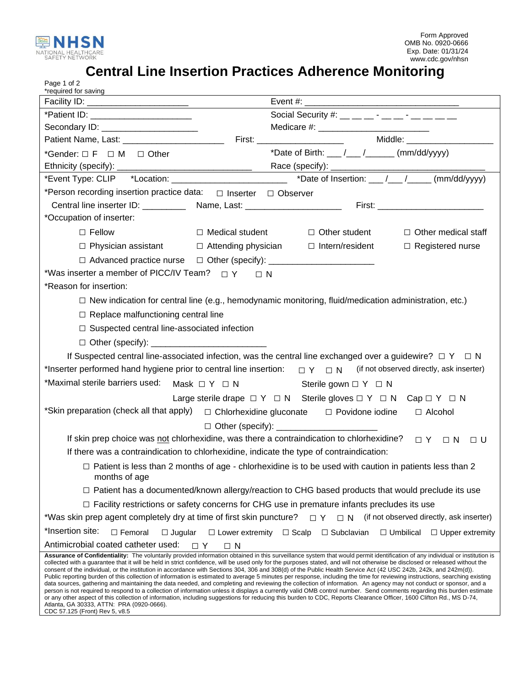

## **Central Line Insertion Practices Adherence Monitoring**

| Page 1 of 2<br>*required for saving <b>Example 2018</b> The same state of the same state of the same state of the same state of the same state of the same state of the same state of the same state of the same state of the same state of the sa                                                                                                                                                                                                                                                                                                                                                                                                                                                                                                                                                                                                                                                                                                                                                                                                                                                                                                                                                                                                                                                                  |                                                                                                              |  |
|---------------------------------------------------------------------------------------------------------------------------------------------------------------------------------------------------------------------------------------------------------------------------------------------------------------------------------------------------------------------------------------------------------------------------------------------------------------------------------------------------------------------------------------------------------------------------------------------------------------------------------------------------------------------------------------------------------------------------------------------------------------------------------------------------------------------------------------------------------------------------------------------------------------------------------------------------------------------------------------------------------------------------------------------------------------------------------------------------------------------------------------------------------------------------------------------------------------------------------------------------------------------------------------------------------------------|--------------------------------------------------------------------------------------------------------------|--|
|                                                                                                                                                                                                                                                                                                                                                                                                                                                                                                                                                                                                                                                                                                                                                                                                                                                                                                                                                                                                                                                                                                                                                                                                                                                                                                                     |                                                                                                              |  |
|                                                                                                                                                                                                                                                                                                                                                                                                                                                                                                                                                                                                                                                                                                                                                                                                                                                                                                                                                                                                                                                                                                                                                                                                                                                                                                                     | Social Security #: __ __ _ - __ - _ - _ _ _ _ _ _                                                            |  |
| Secondary ID: _____________________                                                                                                                                                                                                                                                                                                                                                                                                                                                                                                                                                                                                                                                                                                                                                                                                                                                                                                                                                                                                                                                                                                                                                                                                                                                                                 |                                                                                                              |  |
|                                                                                                                                                                                                                                                                                                                                                                                                                                                                                                                                                                                                                                                                                                                                                                                                                                                                                                                                                                                                                                                                                                                                                                                                                                                                                                                     |                                                                                                              |  |
| *Gender: $\Box$ F $\Box$ M $\Box$ Other                                                                                                                                                                                                                                                                                                                                                                                                                                                                                                                                                                                                                                                                                                                                                                                                                                                                                                                                                                                                                                                                                                                                                                                                                                                                             | *Date of Birth: ___/___/______ (mm/dd/yyyy)                                                                  |  |
|                                                                                                                                                                                                                                                                                                                                                                                                                                                                                                                                                                                                                                                                                                                                                                                                                                                                                                                                                                                                                                                                                                                                                                                                                                                                                                                     |                                                                                                              |  |
|                                                                                                                                                                                                                                                                                                                                                                                                                                                                                                                                                                                                                                                                                                                                                                                                                                                                                                                                                                                                                                                                                                                                                                                                                                                                                                                     |                                                                                                              |  |
| *Person recording insertion practice data: $\Box$ Inserter $\Box$ Observer                                                                                                                                                                                                                                                                                                                                                                                                                                                                                                                                                                                                                                                                                                                                                                                                                                                                                                                                                                                                                                                                                                                                                                                                                                          |                                                                                                              |  |
|                                                                                                                                                                                                                                                                                                                                                                                                                                                                                                                                                                                                                                                                                                                                                                                                                                                                                                                                                                                                                                                                                                                                                                                                                                                                                                                     |                                                                                                              |  |
| *Occupation of inserter:                                                                                                                                                                                                                                                                                                                                                                                                                                                                                                                                                                                                                                                                                                                                                                                                                                                                                                                                                                                                                                                                                                                                                                                                                                                                                            |                                                                                                              |  |
| $\Box$ Fellow                                                                                                                                                                                                                                                                                                                                                                                                                                                                                                                                                                                                                                                                                                                                                                                                                                                                                                                                                                                                                                                                                                                                                                                                                                                                                                       | □ Medical student □ Other student<br>$\Box$ Other medical staff                                              |  |
| $\Box$ Physician assistant $\Box$ Attending physician $\Box$ Intern/resident                                                                                                                                                                                                                                                                                                                                                                                                                                                                                                                                                                                                                                                                                                                                                                                                                                                                                                                                                                                                                                                                                                                                                                                                                                        | $\Box$ Registered nurse                                                                                      |  |
| □ Advanced practice nurse □ Other (specify): ___________________________________                                                                                                                                                                                                                                                                                                                                                                                                                                                                                                                                                                                                                                                                                                                                                                                                                                                                                                                                                                                                                                                                                                                                                                                                                                    |                                                                                                              |  |
| *Was inserter a member of PICC/IV Team? $\Box Y$ $\Box N$                                                                                                                                                                                                                                                                                                                                                                                                                                                                                                                                                                                                                                                                                                                                                                                                                                                                                                                                                                                                                                                                                                                                                                                                                                                           |                                                                                                              |  |
| *Reason for insertion:                                                                                                                                                                                                                                                                                                                                                                                                                                                                                                                                                                                                                                                                                                                                                                                                                                                                                                                                                                                                                                                                                                                                                                                                                                                                                              |                                                                                                              |  |
|                                                                                                                                                                                                                                                                                                                                                                                                                                                                                                                                                                                                                                                                                                                                                                                                                                                                                                                                                                                                                                                                                                                                                                                                                                                                                                                     | $\Box$ New indication for central line (e.g., hemodynamic monitoring, fluid/medication administration, etc.) |  |
| □ Replace malfunctioning central line                                                                                                                                                                                                                                                                                                                                                                                                                                                                                                                                                                                                                                                                                                                                                                                                                                                                                                                                                                                                                                                                                                                                                                                                                                                                               |                                                                                                              |  |
| □ Suspected central line-associated infection                                                                                                                                                                                                                                                                                                                                                                                                                                                                                                                                                                                                                                                                                                                                                                                                                                                                                                                                                                                                                                                                                                                                                                                                                                                                       |                                                                                                              |  |
|                                                                                                                                                                                                                                                                                                                                                                                                                                                                                                                                                                                                                                                                                                                                                                                                                                                                                                                                                                                                                                                                                                                                                                                                                                                                                                                     |                                                                                                              |  |
| If Suspected central line-associated infection, was the central line exchanged over a guidewire? $\Box Y \Box N$                                                                                                                                                                                                                                                                                                                                                                                                                                                                                                                                                                                                                                                                                                                                                                                                                                                                                                                                                                                                                                                                                                                                                                                                    |                                                                                                              |  |
| *Inserter performed hand hygiene prior to central line insertion: $\Box Y \Box N$ (if not observed directly, ask inserter)                                                                                                                                                                                                                                                                                                                                                                                                                                                                                                                                                                                                                                                                                                                                                                                                                                                                                                                                                                                                                                                                                                                                                                                          |                                                                                                              |  |
| *Maximal sterile barriers used: Mask $\Box Y \Box N$<br>Sterile gown $\Box$ $Y$ $\Box$ N                                                                                                                                                                                                                                                                                                                                                                                                                                                                                                                                                                                                                                                                                                                                                                                                                                                                                                                                                                                                                                                                                                                                                                                                                            |                                                                                                              |  |
| Large sterile drape $\Box Y \Box N$ Sterile gloves $\Box Y \Box N$ Cap $\Box Y \Box N$                                                                                                                                                                                                                                                                                                                                                                                                                                                                                                                                                                                                                                                                                                                                                                                                                                                                                                                                                                                                                                                                                                                                                                                                                              |                                                                                                              |  |
| *Skin preparation (check all that apply) $\Box$ Chlorhexidine gluconate $\Box$ Povidone iodine                                                                                                                                                                                                                                                                                                                                                                                                                                                                                                                                                                                                                                                                                                                                                                                                                                                                                                                                                                                                                                                                                                                                                                                                                      |                                                                                                              |  |
| □ Alcohol                                                                                                                                                                                                                                                                                                                                                                                                                                                                                                                                                                                                                                                                                                                                                                                                                                                                                                                                                                                                                                                                                                                                                                                                                                                                                                           |                                                                                                              |  |
| $\Box$ Other (specify): $\Box$                                                                                                                                                                                                                                                                                                                                                                                                                                                                                                                                                                                                                                                                                                                                                                                                                                                                                                                                                                                                                                                                                                                                                                                                                                                                                      |                                                                                                              |  |
| If skin prep choice was not chlorhexidine, was there a contraindication to chlorhexidine?<br>$\Box$ Y $\Box$ N $\Box$ U                                                                                                                                                                                                                                                                                                                                                                                                                                                                                                                                                                                                                                                                                                                                                                                                                                                                                                                                                                                                                                                                                                                                                                                             |                                                                                                              |  |
| If there was a contraindication to chlorhexidine, indicate the type of contraindication:                                                                                                                                                                                                                                                                                                                                                                                                                                                                                                                                                                                                                                                                                                                                                                                                                                                                                                                                                                                                                                                                                                                                                                                                                            |                                                                                                              |  |
| $\Box$ Patient is less than 2 months of age - chlorhexidine is to be used with caution in patients less than 2<br>months of age                                                                                                                                                                                                                                                                                                                                                                                                                                                                                                                                                                                                                                                                                                                                                                                                                                                                                                                                                                                                                                                                                                                                                                                     |                                                                                                              |  |
| $\Box$ Patient has a documented/known allergy/reaction to CHG based products that would preclude its use                                                                                                                                                                                                                                                                                                                                                                                                                                                                                                                                                                                                                                                                                                                                                                                                                                                                                                                                                                                                                                                                                                                                                                                                            |                                                                                                              |  |
| $\Box$ Facility restrictions or safety concerns for CHG use in premature infants precludes its use                                                                                                                                                                                                                                                                                                                                                                                                                                                                                                                                                                                                                                                                                                                                                                                                                                                                                                                                                                                                                                                                                                                                                                                                                  |                                                                                                              |  |
| *Was skin prep agent completely dry at time of first skin puncture?<br>(if not observed directly, ask inserter)<br>$\Box N$<br>$\Box$ Y                                                                                                                                                                                                                                                                                                                                                                                                                                                                                                                                                                                                                                                                                                                                                                                                                                                                                                                                                                                                                                                                                                                                                                             |                                                                                                              |  |
| *Insertion site:<br>$\Box$ Femoral<br>$\Box$ Jugular<br>$\Box$ Lower extremity                                                                                                                                                                                                                                                                                                                                                                                                                                                                                                                                                                                                                                                                                                                                                                                                                                                                                                                                                                                                                                                                                                                                                                                                                                      | $\Box$ Scalp<br>$\Box$ Subclavian<br>$\Box$ Umbilical<br>$\Box$ Upper extremity                              |  |
| Antimicrobial coated catheter used:<br>$\Box$ N<br>$\Box$ Y                                                                                                                                                                                                                                                                                                                                                                                                                                                                                                                                                                                                                                                                                                                                                                                                                                                                                                                                                                                                                                                                                                                                                                                                                                                         |                                                                                                              |  |
| Assurance of Confidentiality: The voluntarily provided information obtained in this surveillance system that would permit identification of any individual or institution is<br>collected with a guarantee that it will be held in strict confidence, will be used only for the purposes stated, and will not otherwise be disclosed or released without the<br>consent of the individual, or the institution in accordance with Sections 304, 306 and 308(d) of the Public Health Service Act (42 USC 242b, 242k, and 242m(d)).<br>Public reporting burden of this collection of information is estimated to average 5 minutes per response, including the time for reviewing instructions, searching existing<br>data sources, gathering and maintaining the data needed, and completing and reviewing the collection of information. An agency may not conduct or sponsor, and a<br>person is not required to respond to a collection of information unless it displays a currently valid OMB control number. Send comments regarding this burden estimate<br>or any other aspect of this collection of information, including suggestions for reducing this burden to CDC, Reports Clearance Officer, 1600 Clifton Rd., MS D-74,<br>Atlanta, GA 30333, ATTN: PRA (0920-0666).<br>CDC 57.125 (Front) Rev 5, v8.5 |                                                                                                              |  |